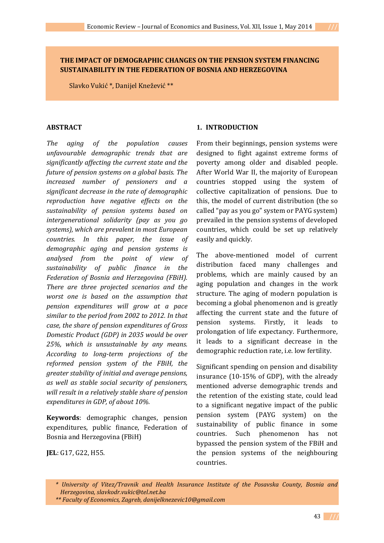## **THE IMPACT OF DEMOGRAPHIC CHANGES ON THE PENSION SYSTEM FINANCING SUSTAINABILITY IN THE FEDERATION OF BOSNIA AND HERZEGOVINA**

Slavko Vukić \*, Danijel Knežević \*\*

#### **ABSTRACT**

*The aging of the population causes unfavourable demographic trends that are significantly affecting the current state and the future of pension systems on a global basis. The increased number of pensioners and a significant decrease in the rate of demographic reproduction have negative effects on the sustainability of pension systems based on intergenerational solidarity (pay as you go systems), which are prevalent in most European countries. In this paper, the issue of demographic aging and pension systems is analysed from the point of view of sustainability of public finance in the Federation of Bosnia and Herzegovina (FBiH). There are three projected scenarios and the worst one is based on the assumption that pension expenditures will grow at a pace similar to the period from 2002 to 2012. In that case, the share of pension expenditures of Gross Domestic Product (GDP) in 2035 would be over 25%, which is unsustainable by any means. According to long-term projections of the reformed pension system of the FBiH, the greater stability of initial and average pensions, as well as stable social security of pensioners, will result in a relatively stable share of pension expenditures in GDP, of about 10%.* 

**Keywords**: demographic changes, pension expenditures, public finance, Federation of Bosnia and Herzegovina (FBiH)

**JEL**: G17, G22, H55.

#### **1. INTRODUCTION**

From their beginnings, pension systems were designed to fight against extreme forms of poverty among older and disabled people. After World War II, the majority of European countries stopped using the system of collective capitalization of pensions. Due to this, the model of current distribution (the so called "pay as you go" system or PAYG system) prevailed in the pension systems of developed countries, which could be set up relatively easily and quickly.

The above-mentioned model of current distribution faced many challenges and problems, which are mainly caused by an aging population and changes in the work structure. The aging of modern population is becoming a global phenomenon and is greatly affecting the current state and the future of pension systems. Firstly, it leads to prolongation of life expectancy. Furthermore, it leads to a significant decrease in the demographic reduction rate, i.e. low fertility.

Significant spending on pension and disability insurance (10-15% of GDP), with the already mentioned adverse demographic trends and the retention of the existing state, could lead to a significant negative impact of the public pension system (PAYG system) on the sustainability of public finance in some countries. Such phenomenon has not bypassed the pension system of the FBiH and the pension systems of the neighbouring countries.

43 **///**

 *<sup>\*</sup> University of Vitez/Travnik and Health Insurance Institute of the Posavska County, Bosnia and Herzegovina, slavkodr.vukic@tel.net.ba* 

 *<sup>\*\*</sup> Faculty of Economics, Zagreb, danijelknezevic10@gmail.com*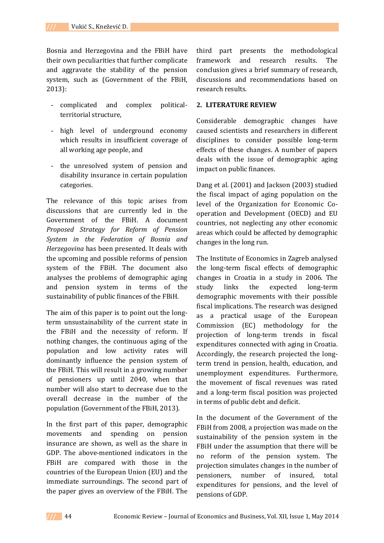Bosnia and Herzegovina and the FBiH have their own peculiarities that further complicate and aggravate the stability of the pension system, such as (Government of the FBiH, 2013):

- complicated and complex politicalterritorial structure,
- high level of underground economy which results in insufficient coverage of all working age people, and
- the unresolved system of pension and disability insurance in certain population categories.

The relevance of this topic arises from discussions that are currently led in the Government of the FBiH. A document *Proposed Strategy for Reform of Pension System in the Federation of Bosnia and Herzegovina* has been presented. It deals with the upcoming and possible reforms of pension system of the FBiH. The document also analyses the problems of demographic aging and pension system in terms of the sustainability of public finances of the FBiH.

The aim of this paper is to point out the longterm unsustainability of the current state in the FBiH and the necessity of reform. If nothing changes, the continuous aging of the population and low activity rates will dominantly influence the pension system of the FBiH. This will result in a growing number of pensioners up until 2040, when that number will also start to decrease due to the overall decrease in the number of the population (Government of the FBiH, 2013).

In the first part of this paper, demographic movements and spending on pension insurance are shown, as well as the share in GDP. The above-mentioned indicators in the FBiH are compared with those in the countries of the European Union (EU) and the immediate surroundings. The second part of the paper gives an overview of the FBiH. The

third part presents the methodological framework and research results. The conclusion gives a brief summary of research, discussions and recommendations based on research results.

#### **2. LITERATURE REVIEW**

Considerable demographic changes have caused scientists and researchers in different disciplines to consider possible long-term effects of these changes. A number of papers deals with the issue of demographic aging impact on public finances.

Dang et al. (2001) and Jackson (2003) studied the fiscal impact of aging population on the level of the Organization for Economic Cooperation and Development (OECD) and EU countries, not neglecting any other economic areas which could be affected by demographic changes in the long run.

The Institute of Economics in Zagreb analysed the long-term fiscal effects of demographic changes in Croatia in a study in 2006. The study links the expected long-term demographic movements with their possible fiscal implications. The research was designed as a practical usage of the European Commission (EC) methodology for the projection of long-term trends in fiscal expenditures connected with aging in Croatia. Accordingly, the research projected the longterm trend in pension, health, education, and unemployment expenditures. Furthermore, the movement of fiscal revenues was rated and a long-term fiscal position was projected in terms of public debt and deficit.

In the document of the Government of the FBiH from 2008, a projection was made on the sustainability of the pension system in the FBiH under the assumption that there will be no reform of the pension system. The projection simulates changes in the number of pensioners, number of insured, total expenditures for pensions, and the level of pensions of GDP.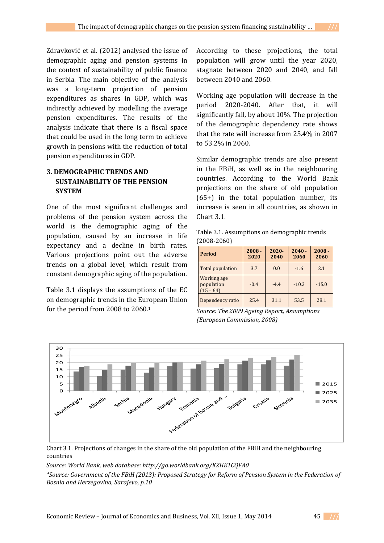Zdravković et al. (2012) analysed the issue of demographic aging and pension systems in the context of sustainability of public finance in Serbia. The main objective of the analysis was a long-term projection of pension expenditures as shares in GDP, which was indirectly achieved by modelling the average pension expenditures. The results of the analysis indicate that there is a fiscal space that could be used in the long term to achieve growth in pensions with the reduction of total pension expenditures in GDP.

# **3. DEMOGRAPHIC TRENDS AND SUSTAINABILITY OF THE PENSION SYSTEM**

One of the most significant challenges and problems of the pension system across the world is the demographic aging of the population, caused by an increase in life expectancy and a decline in birth rates. Various projections point out the adverse trends on a global level, which result from constant demographic aging of the population.

Table 3.1 displays the assumptions of the EC on demographic trends in the European Union for the period from 2008 to 2060.<sup>1</sup>

According to these projections, the total population will grow until the year 2020, stagnate between 2020 and 2040, and fall between 2040 and 2060.

Working age population will decrease in the period 2020-2040. After that, it will significantly fall, by about 10%. The projection of the demographic dependency rate shows that the rate will increase from 25.4% in 2007 to 53.2% in 2060.

Similar demographic trends are also present in the FBiH, as well as in the neighbouring countries. According to the World Bank projections on the share of old population (65+) in the total population number, its increase is seen in all countries, as shown in Chart 3.1.

| Table 3.1. Assumptions on demographic trends |  |
|----------------------------------------------|--|
| $(2008-2060)$                                |  |

| <b>Period</b>                            | $2008 -$<br>2020 | $2020 -$<br>2040 | $2040 -$<br>2060 | $2008 -$<br>2060 |
|------------------------------------------|------------------|------------------|------------------|------------------|
| <b>Total population</b>                  | 3.7              | 0.0              | $-1.6$           | 2.1              |
| Working age<br>population<br>$(15 - 64)$ | $-0.4$           | $-4.4$           | $-10.2$          | $-15.0$          |
| Dependency ratio                         | 25.4             | 31.1             | 53.5             | 28.1             |

*Source: The 2009 Ageing Report, Assumptions (European Commission, 2008)* 



Chart 3.1. Projections of changes in the share of the old population of the FBiH and the neighbouring countries

*Source: World Bank, web database: http://go.worldbank.org/KZHE1CQFA0*

*\*Source: Government of the FBiH (2013): Proposed Strategy for Reform of Pension System in the Federation of Bosnia and Herzegovina, Sarajevo, p.10*

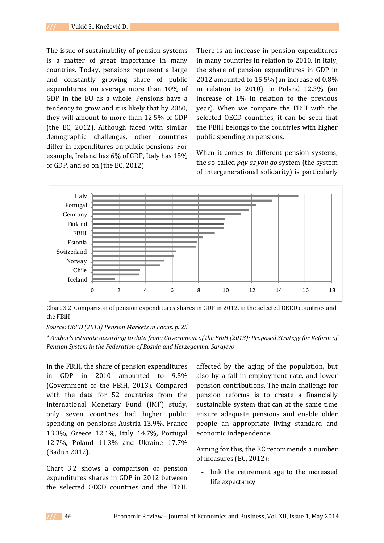The issue of sustainability of pension systems is a matter of great importance in many countries. Today, pensions represent a large and constantly growing share of public expenditures, on average more than 10% of GDP in the EU as a whole. Pensions have a tendency to grow and it is likely that by 2060, they will amount to more than 12.5% of GDP (the EC, 2012). Although faced with similar demographic challenges, other countries differ in expenditures on public pensions. For example, Ireland has 6% of GDP, Italy has 15% of GDP, and so on (the EC, 2012).

There is an increase in pension expenditures in many countries in relation to 2010. In Italy, the share of pension expenditures in GDP in 2012 amounted to 15.5% (an increase of 0.8% in relation to 2010), in Poland 12.3% (an increase of 1% in relation to the previous year). When we compare the FBiH with the selected OECD countries, it can be seen that the FBiH belongs to the countries with higher public spending on pensions.

When it comes to different pension systems, the so-called *pay as you go* system (the system of intergenerational solidarity) is particularly



Chart 3.2. Comparison of pension expenditures shares in GDP in 2012, in the selected OECD countries and the FBiH

*Source: OECD (2013) Pension Markets in Focus, p. 25.* 

*\* Author's estimate according to data from: Government of the FBiH (2013): Proposed Strategy for Reform of Pension System in the Federation of Bosnia and Herzegovina, Sarajevo*

In the FBiH, the share of pension expenditures in GDP in 2010 amounted to 9.5% (Government of the FBiH, 2013). Compared with the data for 52 countries from the International Monetary Fund (IMF) study, only seven countries had higher public spending on pensions: Austria 13.9%, France 13.3%, Greece 12.1%, Italy 14.7%, Portugal 12.7%, Poland 11.3% and Ukraine 17.7% (Bađun 2012).

Chart 3.2 shows a comparison of pension expenditures shares in GDP in 2012 between the selected OECD countries and the FBiH.

affected by the aging of the population, but also by a fall in employment rate, and lower pension contributions. The main challenge for pension reforms is to create a financially sustainable system that can at the same time ensure adequate pensions and enable older people an appropriate living standard and economic independence.

Aiming for this, the EC recommends a number of measures (EC, 2012):

link the retirement age to the increased life expectancy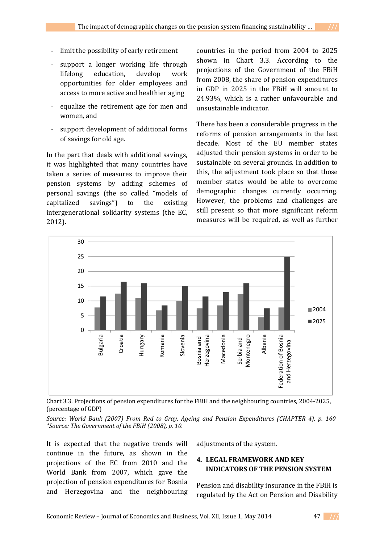- limit the possibility of early retirement
- support a longer working life through lifelong education, develop work opportunities for older employees and access to more active and healthier aging
- equalize the retirement age for men and women, and
- support development of additional forms of savings for old age.

In the part that deals with additional savings, it was highlighted that many countries have taken a series of measures to improve their pension systems by adding schemes of personal savings (the so called "models of capitalized savings") to the existing intergenerational solidarity systems (the EC, 2012).

countries in the period from 2004 to 2025 shown in Chart 3.3. According to the projections of the Government of the FBiH from 2008, the share of pension expenditures in GDP in 2025 in the FBiH will amount to 24.93%, which is a rather unfavourable and unsustainable indicator.

There has been a considerable progress in the reforms of pension arrangements in the last decade. Most of the EU member states adjusted their pension systems in order to be sustainable on several grounds. In addition to this, the adjustment took place so that those member states would be able to overcome demographic changes currently occurring. However, the problems and challenges are still present so that more significant reform measures will be required, as well as further



Chart 3.3. Projections of pension expenditures for the FBiH and the neighbouring countries, 2004-2025, (percentage of GDP)

*Source: World Bank (2007) From Red to Gray, Ageing and Pension Expenditures (CHAPTER 4), p. 160 \*Source: The Government of the FBiH (2008), p. 10.* 

It is expected that the negative trends will continue in the future, as shown in the projections of the EC from 2010 and the World Bank from 2007, which gave the projection of pension expenditures for Bosnia and Herzegovina and the neighbouring adjustments of the system.

## **4. LEGAL FRAMEWORK AND KEY INDICATORS OF THE PENSION SYSTEM**

Pension and disability insurance in the FBiH is regulated by the Act on Pension and Disability

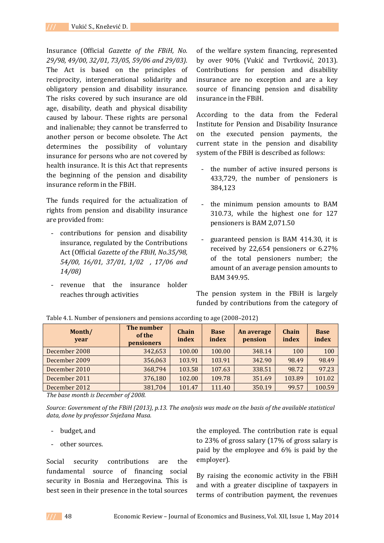Insurance (Official *Gazette of the FBiH, No. 29/98, 49/00, 32/01, 73/05, 59/06 and 29/03).*  The Act is based on the principles of reciprocity, intergenerational solidarity and obligatory pension and disability insurance. The risks covered by such insurance are old age, disability, death and physical disability caused by labour. These rights are personal and inalienable; they cannot be transferred to another person or become obsolete. The Act determines the possibility of voluntary insurance for persons who are not covered by health insurance. It is this Act that represents the beginning of the pension and disability insurance reform in the FBiH.

The funds required for the actualization of rights from pension and disability insurance are provided from:

- contributions for pension and disability insurance, regulated by the Contributions Act (Official *Gazette of the FBiH, No.35/98, 54/00, 16/01, 37/01, 1/02 , 17/06 and 14/08)*
- revenue that the insurance holder reaches through activities

of the welfare system financing, represented by over 90% (Vukić and Tvrtković, 2013). Contributions for pension and disability insurance are no exception and are a key source of financing pension and disability insurance in the FBiH.

According to the data from the Federal Institute for Pension and Disability Insurance on the executed pension payments, the current state in the pension and disability system of the FBiH is described as follows:

- the number of active insured persons is 433,729, the number of pensioners is 384,123
- the minimum pension amounts to BAM 310.73, while the highest one for 127 pensioners is BAM 2,071.50
- guaranteed pension is BAM 414.30, it is received by 22,654 pensioners or 6.27% of the total pensioners number; the amount of an average pension amounts to BAM 349.95.

The pension system in the FBiH is largely funded by contributions from the category of

| Month/<br>year | The number<br>of the<br><b>pensioners</b> | Chain<br>index | <b>Base</b><br>index | An average<br>pension | Chain<br>index | <b>Base</b><br>index |
|----------------|-------------------------------------------|----------------|----------------------|-----------------------|----------------|----------------------|
| December 2008  | 342,653                                   | 100.00         | 100.00               | 348.14                | 100            | 100                  |
| December 2009  | 356,063                                   | 103.91         | 103.91               | 342.90                | 98.49          | 98.49                |
| December 2010  | 368,794                                   | 103.58         | 107.63               | 338.51                | 98.72          | 97.23                |
| December 2011  | 376,180                                   | 102.00         | 109.78               | 351.69                | 103.89         | 101.02               |
| December 2012  | 381,704                                   | 101.47         | 111.40               | 350.19                | 99.57          | 100.59               |

Table 4.1. Number of pensioners and pensions according to age (2008–2012)

*The base month is December of 2008.* 

*Source: Government of the FBiH (2013), p.13. The analysis was made on the basis of the available statistical data, done by professor Snježana Musa.* 

- budget, and
- other sources.

Social security contributions are the fundamental source of financing social security in Bosnia and Herzegovina. This is best seen in their presence in the total sources

the employed. The contribution rate is equal to 23% of gross salary (17% of gross salary is paid by the employee and 6% is paid by the employer).

By raising the economic activity in the FBiH and with a greater discipline of taxpayers in terms of contribution payment, the revenues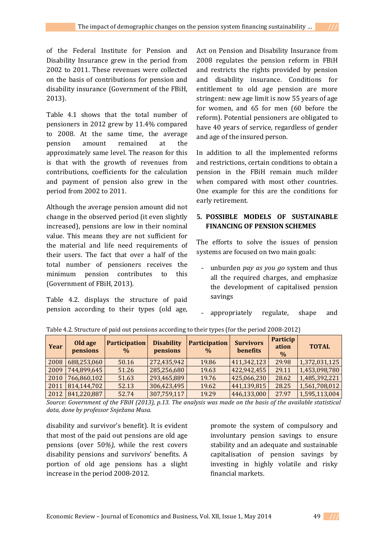of the Federal Institute for Pension and Disability Insurance grew in the period from 2002 to 2011. These revenues were collected on the basis of contributions for pension and disability insurance (Government of the FBiH, 2013).

Table 4.1 shows that the total number of pensioners in 2012 grew by 11.4% compared to 2008. At the same time, the average pension amount remained at the approximately same level. The reason for this is that with the growth of revenues from contributions, coefficients for the calculation and payment of pension also grew in the period from 2002 to 2011.

Although the average pension amount did not change in the observed period (it even slightly increased), pensions are low in their nominal value. This means they are not sufficient for the material and life need requirements of their users. The fact that over a half of the total number of pensioners receives the minimum pension contributes to this (Government of FBiH, 2013).

Table 4.2. displays the structure of paid pension according to their types (old age,

Act on Pension and Disability Insurance from 2008 regulates the pension reform in FBiH and restricts the rights provided by pension and disability insurance. Conditions for entitlement to old age pension are more stringent: new age limit is now 55 years of age for women, and 65 for men (60 before the reform). Potential pensioners are obligated to have 40 years of service, regardless of gender and age of the insured person.

In addition to all the implemented reforms and restrictions, certain conditions to obtain a pension in the FBiH remain much milder when compared with most other countries. One example for this are the conditions for early retirement.

## **5. POSSIBLE MODELS OF SUSTAINABLE FINANCING OF PENSION SCHEMES**

The efforts to solve the issues of pension systems are focused on two main goals:

- unburden *pay as you go* system and thus all the required charges, and emphasize the development of capitalised pension savings
- appropriately regulate, shape and

| Year | Old age<br>pensions | <b>Participation</b><br>$\frac{0}{0}$ | <b>Disability</b><br>pensions | <b>Participation</b><br>$\frac{0}{0}$ | <b>Survivors</b><br>benefits | <b>Particip</b><br>ation<br>$\frac{0}{0}$ | <b>TOTAL</b>  |
|------|---------------------|---------------------------------------|-------------------------------|---------------------------------------|------------------------------|-------------------------------------------|---------------|
| 2008 | 688,253,060         | 50.16                                 | 272,435,942                   | 19.86                                 | 411,342,123                  | 29.98                                     | 1,372,031,125 |
| 2009 | 744,899,645         | 51.26                                 | 285,256,680                   | 19.63                                 | 422,942,455                  | 29.11                                     | 1,453,098,780 |
| 2010 | 766,860,102         | 51.63                                 | 293,465,889                   | 19.76                                 | 425,066,230                  | 28.62                                     | 1,485,392,221 |
| 2011 | 814,144,702         | 52.13                                 | 306,423,495                   | 19.62                                 | 441,139,815                  | 28.25                                     | 1,561,708,012 |
| 2012 | 841,220,887         | 52.74                                 | 307,759,117                   | 19.29                                 | 446,133,000                  | 27.97                                     | 1,595,113,004 |

Table 4.2. Structure of paid out pensions according to their types (for the period 2008-2012)

*Source: Government of the FBiH (2013), p.13. The analysis was made on the basis of the available statistical data, done by professor Snježana Musa.* 

disability and survivor's benefit). It is evident that most of the paid out pensions are old age pensions (over 50*%),* while the rest covers disability pensions and survivors' benefits. A portion of old age pensions has a slight increase in the period 2008-2012.

promote the system of compulsory and involuntary pension savings to ensure stability and an adequate and sustainable capitalisation of pension savings by investing in highly volatile and risky financial markets.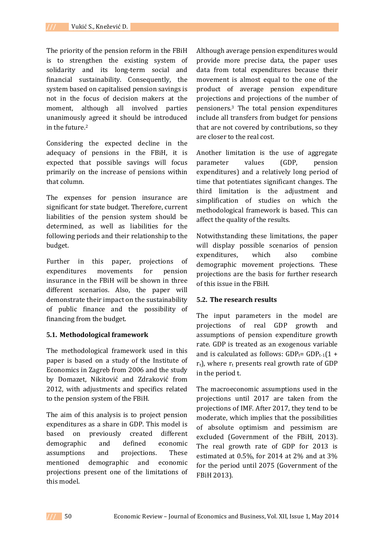The priority of the pension reform in the FBiH is to strengthen the existing system of solidarity and its long-term social and financial sustainability. Consequently, the system based on capitalised pension savings is not in the focus of decision makers at the moment, although all involved parties unanimously agreed it should be introduced in the future.<sup>2</sup>

Considering the expected decline in the adequacy of pensions in the FBiH, it is expected that possible savings will focus primarily on the increase of pensions within that column.

The expenses for pension insurance are significant for state budget. Therefore, current liabilities of the pension system should be determined, as well as liabilities for the following periods and their relationship to the budget.

Further in this paper, projections of expenditures movements for pension insurance in the FBiH will be shown in three different scenarios. Also, the paper will demonstrate their impact on the sustainability of public finance and the possibility of financing from the budget.

### **5.1. Methodological framework**

The methodological framework used in this paper is based on a study of the Institute of Economics in Zagreb from 2006 and the study by Domazet, Nikitović and Zdraković from 2012, with adjustments and specifics related to the pension system of the FBiH.

The aim of this analysis is to project pension expenditures as a share in GDP. This model is based on previously created different demographic and defined economic assumptions and projections. These mentioned demographic and economic projections present one of the limitations of this model.

Although average pension expenditures would provide more precise data, the paper uses data from total expenditures because their movement is almost equal to the one of the product of average pension expenditure projections and projections of the number of pensioners.3 The total pension expenditures include all transfers from budget for pensions that are not covered by contributions, so they are closer to the real cost.

Another limitation is the use of aggregate parameter values (GDP, pension expenditures) and a relatively long period of time that potentiates significant changes. The third limitation is the adjustment and simplification of studies on which the methodological framework is based. This can affect the quality of the results.

Notwithstanding these limitations, the paper will display possible scenarios of pension expenditures, which also combine demographic movement projections. These projections are the basis for further research of this issue in the FBiH.

### **5.2. The research results**

The input parameters in the model are projections of real GDP growth and assumptions of pension expenditure growth rate. GDP is treated as an exogenous variable and is calculated as follows:  $GDP_t = GDP_{t-1}(1 +$  $r<sub>t</sub>$ ), where  $r<sub>t</sub>$  presents real growth rate of GDP in the period t.

The macroeconomic assumptions used in the projections until 2017 are taken from the projections of IMF. After 2017, they tend to be moderate, which implies that the possibilities of absolute optimism and pessimism are excluded (Government of the FBiH, 2013). The real growth rate of GDP for 2013 is estimated at 0.5%, for 2014 at 2% and at 3% for the period until 2075 (Government of the FBiH 2013).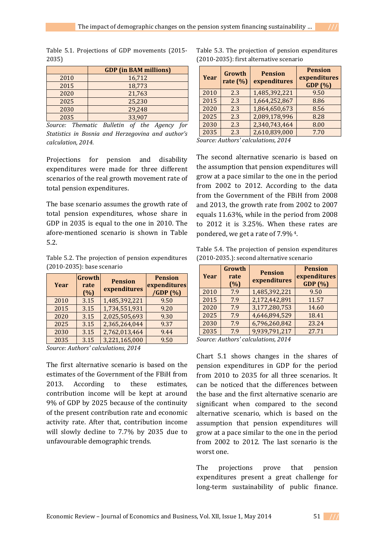Table 5.1. Projections of GDP movements (2015- 2035)

|      | <b>GDP</b> (in BAM millions) |
|------|------------------------------|
| 2010 | 16,712                       |
| 2015 | 18,773                       |
| 2020 | 21,763                       |
| 2025 | 25,230                       |
| 2030 | 29,248                       |
| 2035 | 33.907                       |

*Source: Thematic Bulletin of the Agency for Statistics in Bosnia and Herzegovina and author's calculation, 2014.*

Projections for pension and disability expenditures were made for three different scenarios of the real growth movement rate of total pension expenditures.

The base scenario assumes the growth rate of total pension expenditures, whose share in GDP in 2035 is equal to the one in 2010. The afore-mentioned scenario is shown in Table 5.2.

Table 5.2. The projection of pension expenditures (2010-2035): base scenario

| Year | Growth<br>rate<br>(%) | <b>Pension</b><br>expenditures | <b>Pension</b><br>expenditures<br>/GDP(%) |
|------|-----------------------|--------------------------------|-------------------------------------------|
| 2010 | 3.15                  | 1,485,392,221                  | 9.50                                      |
| 2015 | 3.15                  | 1,734,551,931                  | 9.20                                      |
| 2020 | 3.15                  | 2,025,505,693                  | 9.30                                      |
| 2025 | 3.15                  | 2,365,264,044                  | 9.37                                      |
| 2030 | 3.15                  | 2,762,013,464                  | 9.44                                      |
| 2035 | 3.15                  | 3,221,165,000                  | 9.50                                      |

*Source: Authors' calculations, 2014* 

The first alternative scenario is based on the estimates of the Government of the FBiH from 2013. According to these estimates, contribution income will be kept at around 9% of GDP by 2025 because of the continuity of the present contribution rate and economic activity rate. After that, contribution income will slowly decline to 7.7% by 2035 due to unfavourable demographic trends.

| Table 5.3. The projection of pension expenditures |  |
|---------------------------------------------------|--|
| (2010-2035): first alternative scenario           |  |

| Year | Growth<br>rate $(\% )$ | <b>Pension</b><br>expenditures | <b>Pension</b><br>expenditures<br>GDP (%) |
|------|------------------------|--------------------------------|-------------------------------------------|
| 2010 | 2.3                    | 1,485,392,221                  | 9.50                                      |
| 2015 | 2.3                    | 1,664,252,867                  | 8.86                                      |
| 2020 | 2.3                    | 1,864,650,673                  | 8.56                                      |
| 2025 | 2.3                    | 2,089,178,996                  | 8.28                                      |
| 2030 | 2.3                    | 2,340,743,464                  | 8.00                                      |
| 2035 | 2.3                    | 2,610,839,000                  | 7.70                                      |

*Source: Authors' calculations, 2014* 

The second alternative scenario is based on the assumption that pension expenditures will grow at a pace similar to the one in the period from 2002 to 2012. According to the data from the Government of the FBiH from 2008 and 2013, the growth rate from 2002 to 2007 equals 11.63%, while in the period from 2008 to 2012 it is 3.25%. When these rates are pondered, we get a rate of 7.9% 4.

Table 5.4. The projection of pension expenditures (2010-2035.): second alternative scenario

| Year | Growth<br>rate<br>(%) | <b>Pension</b><br>expenditures | <b>Pension</b><br>expenditures<br>GDP (%) |
|------|-----------------------|--------------------------------|-------------------------------------------|
| 2010 | 7.9                   | 1,485,392,221                  | 9.50                                      |
| 2015 | 7.9                   | 2,172,442,891                  | 11.57                                     |
| 2020 | 7.9                   | 3,177,280,753                  | 14.60                                     |
| 2025 | 7.9                   | 4,646,894,529                  | 18.41                                     |
| 2030 | 7.9                   | 6,796,260,842                  | 23.24                                     |
| 2035 | 7.9                   | 9,939,791,217                  | 27.71                                     |

*Source: Authors' calculations, 2014* 

Chart 5.1 shows changes in the shares of pension expenditures in GDP for the period from 2010 to 2035 for all three scenarios. It can be noticed that the differences between the base and the first alternative scenario are significant when compared to the second alternative scenario, which is based on the assumption that pension expenditures will grow at a pace similar to the one in the period from 2002 to 2012. The last scenario is the worst one.

The projections prove that pension expenditures present a great challenge for long-term sustainability of public finance.

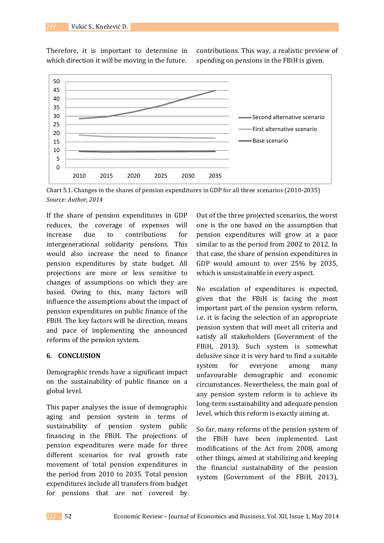Therefore, it is important to determine in which direction it will be moving in the future.

contributions. This way, a realistic preview of spending on pensions in the FBiH is given.



Chart 5.1. Changes in the shares of pension expenditures in GDP for all three scenarios (2010-2035) *Source: Author, 2014* 

If the share of pension expenditures in GDP reduces, the coverage of expenses will increase due to contributions for intergenerational solidarity pensions. This would also increase the need to finance pension expenditures by state budget. All projections are more or less sensitive to changes of assumptions on which they are based. Owing to this, many factors will influence the assumptions about the impact of pension expenditures on public finance of the FBiH. The key factors will be direction, means and pace of implementing the announced reforms of the pension system.

### **6. CONCLUSION**

Demographic trends have a significant impact on the sustainability of public finance on a global level.

This paper analyses the issue of demographic aging and pension system in terms of sustainability of pension system public financing in the FBiH. The projections of pension expenditures were made for three different scenarios for real growth rate movement of total pension expenditures in the period from 2010 to 2035. Total pension expenditures include all transfers from budget for pensions that are not covered by

Out of the three projected scenarios, the worst one is the one based on the assumption that pension expenditures will grow at a pace similar to as the period from 2002 to 2012. In that case, the share of pension expenditures in GDP would amount to over 25% by 2035, which is unsustainable in every aspect.

No escalation of expenditures is expected, given that the FBiH is facing the most important part of the pension system reform, i.e. it is facing the selection of an appropriate pension system that will meet all criteria and satisfy all stakeholders (Government of the FBiH, 2013). Such system is somewhat delusive since it is very hard to find a suitable system for everyone among many unfavourable demographic and economic circumstances. Nevertheless, the main goal of any pension system reform is to achieve its long-term sustainability and adequate pension level, which this reform is exactly aiming at.

So far, many reforms of the pension system of the FBiH have been implemented. Last modifications of the Act from 2008, among other things, aimed at stabilizing and keeping the financial sustainability of the pension system (Government of the FBiH, 2013),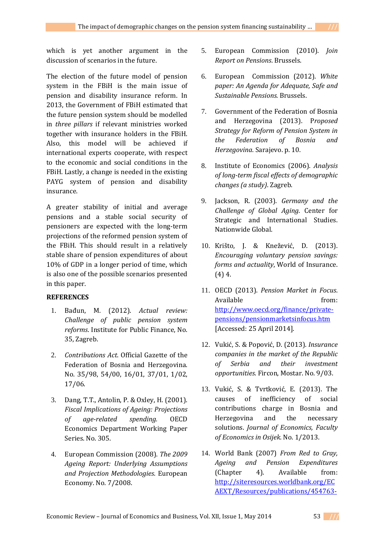which is yet another argument in the discussion of scenarios in the future.

The election of the future model of pension system in the FBiH is the main issue of pension and disability insurance reform. In 2013, the Government of FBiH estimated that the future pension system should be modelled in *three pillars* if relevant ministries worked together with insurance holders in the FBiH. Also, this model will be achieved if international experts cooperate, with respect to the economic and social conditions in the FBiH. Lastly, a change is needed in the existing PAYG system of pension and disability insurance.

A greater stability of initial and average pensions and a stable social security of pensioners are expected with the long-term projections of the reformed pension system of the FBiH. This should result in a relatively stable share of pension expenditures of about 10% of GDP in a longer period of time, which is also one of the possible scenarios presented in this paper.

# **REFERENCES**

- 1. Bađun, M. (2012). *Actual review: Challenge of public pension system reforms*. Institute for Public Finance, No. 35, Zagreb.
- 2. *Contributions Act*. Official Gazette of the Federation of Bosnia and Herzegovina. No. 35/98, 54/00, 16/01, 37/01, 1/02, 17/06.
- 3. Dang, T.T., Antolin, P. & Oxley, H. (2001). *Fiscal Implications of Ageing: Projections of age-related spending.* OECD Economics Department Working Paper Series. No. 305.
- 4. European Commission (2008). *The 2009 Ageing Report: Underlying Assumptions and Projection Methodologies*. European Economy. No. 7/2008.
- 5. European Commission (2010). *Join Report on Pensions*. Brussels.
- 6. European Commission (2012). *White paper: An Agenda for Adequate, Safe and Sustainable Pensions*. Brussels.
- 7. Government of the Federation of Bosnia and Herzegovina (2013). P*roposed Strategy for Reform of Pension System in the Federation of Bosnia and Herzegovina*. Sarajevo. p. 10.
- 8. Institute of Economics (2006). *Analysis of long-term fiscal effects of demographic changes (a study)*. Zagreb.
- 9. Jackson, R. (2003). *Germany and the Challenge of Global Aging*. Center for Strategic and International Studies. Nationwide Global.
- 10. Krišto, J. & Knežević, D. (2013). *Encouraging voluntary pension savings: forms and actuality*, World of Insurance. (4) 4.
- 11. OECD (2013). *Pension Market in Focus*. Available from: http://www.oecd.org/finance/privatepensions/pensionmarketsinfocus.htm [Accessed: 25 April 2014].
- 12. Vukić, S. & Popović, D. (2013). *Insurance companies in the market of the Republic of Serbia and their investment opportunities*. Fircon, Mostar. No. 9/03.
- 13. Vukić, S. & Tvrtković, E. (2013). The causes of inefficiency of social contributions charge in Bosnia and Herzegovina and the necessary solutions. *Journal of Economics, Faculty of Economics in Osijek*. No. 1/2013.
- 14. World Bank (2007) *From Red to Gray, Ageing and Pension Expenditures* (Chapter 4). Available from: http://siteresources.worldbank.org/EC AEXT/Resources/publications/454763-